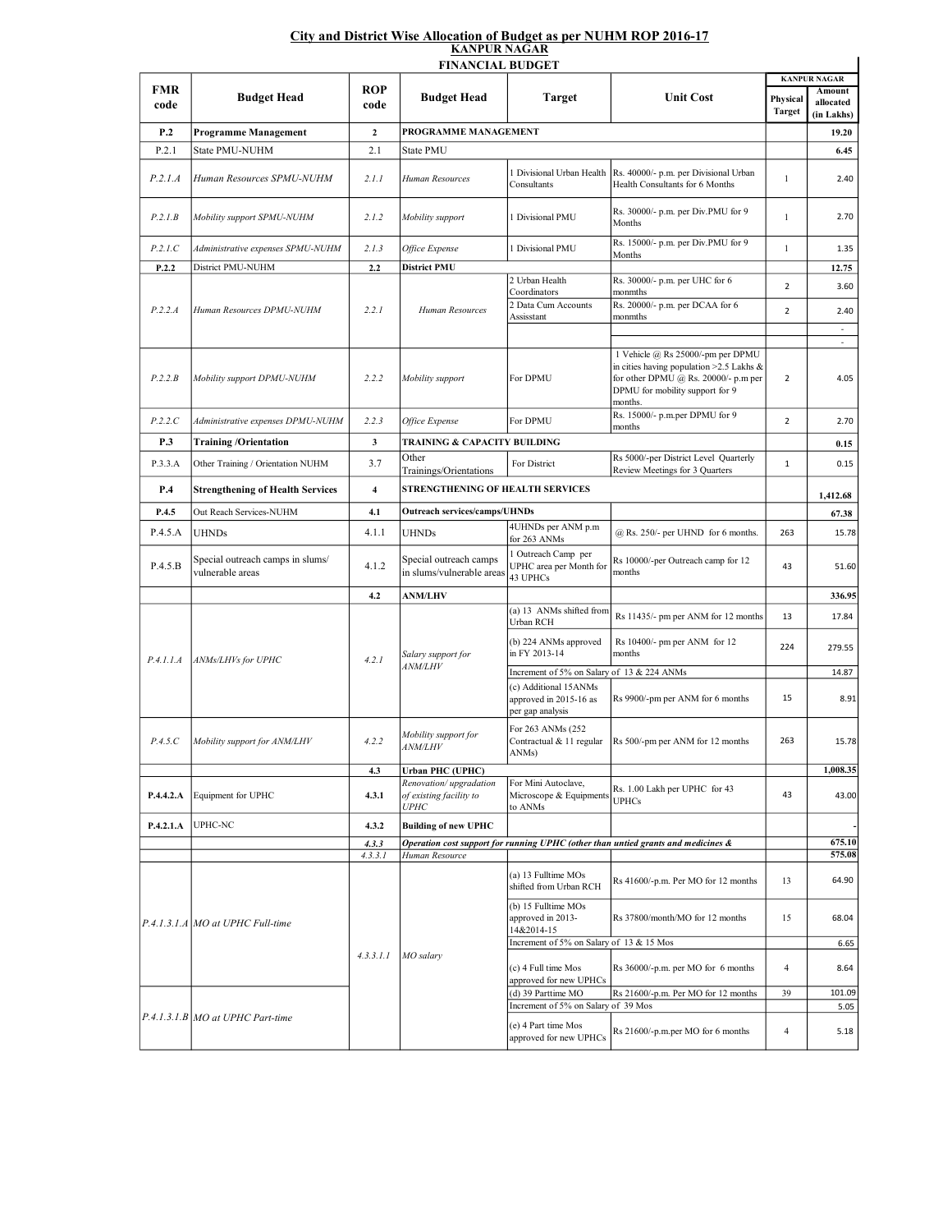## City and District Wise Allocation of Budget as per NUHM ROP 2016-17 KANPUR NAGAR

| <b>FINANCIAL BUDGET</b> |                                                      |                    |                                                                  |                                                                     |                                                                                                                                                                           |                           |                                            |  |  |  |  |  |
|-------------------------|------------------------------------------------------|--------------------|------------------------------------------------------------------|---------------------------------------------------------------------|---------------------------------------------------------------------------------------------------------------------------------------------------------------------------|---------------------------|--------------------------------------------|--|--|--|--|--|
| FMR<br>code             | <b>Budget Head</b>                                   | <b>ROP</b><br>code | <b>Budget Head</b>                                               | <b>Target</b>                                                       | <b>Unit Cost</b>                                                                                                                                                          | Physical<br><b>Target</b> | <b>KANPUR NAGAR</b><br>Amount<br>allocated |  |  |  |  |  |
| P.2                     | <b>Programme Management</b>                          | $\mathbf{2}$       | PROGRAMME MANAGEMENT                                             |                                                                     |                                                                                                                                                                           |                           | (in Lakhs)<br>19.20                        |  |  |  |  |  |
| P.2.1                   | State PMU-NUHM                                       | 2.1                | State PMU                                                        |                                                                     |                                                                                                                                                                           |                           | 6.45                                       |  |  |  |  |  |
|                         |                                                      |                    |                                                                  |                                                                     |                                                                                                                                                                           |                           |                                            |  |  |  |  |  |
| P.2.1.A                 | Human Resources SPMU-NUHM                            | 2.1.1              | Human Resources                                                  | 1 Divisional Urban Health<br>Consultants                            | Rs. 40000/- p.m. per Divisional Urban<br>Health Consultants for 6 Months                                                                                                  | $\mathbf{1}$              | 2.40                                       |  |  |  |  |  |
| P.2.1B                  | Mobility support SPMU-NUHM                           | 2.1.2              | Mobility support                                                 | 1 Divisional PMU                                                    | Rs. 30000/- p.m. per Div.PMU for 9<br>Months                                                                                                                              | $\mathbf{1}$              | 2.70                                       |  |  |  |  |  |
| P.2.1.C                 | Administrative expenses SPMU-NUHM                    | 2.1.3              | Office Expense                                                   | 1 Divisional PMU                                                    | Rs. 15000/- p.m. per Div.PMU for 9<br>Months                                                                                                                              | 1                         | 1.35                                       |  |  |  |  |  |
| P.2.2                   | District PMU-NUHM                                    | 2.2                | <b>District PMU</b>                                              |                                                                     |                                                                                                                                                                           |                           | 12.75                                      |  |  |  |  |  |
| P.2.2.A                 | Human Resources DPMU-NUHM                            | 2.2.1              | Human Resources                                                  | 2 Urban Health                                                      | Rs. 30000/- p.m. per UHC for 6                                                                                                                                            | $\overline{2}$            | 3.60                                       |  |  |  |  |  |
|                         |                                                      |                    |                                                                  | Coordinators<br>2 Data Cum Accounts<br>Assisstant                   | monmths<br>Rs. 20000/- p.m. per DCAA for 6<br>monmths                                                                                                                     | $\overline{2}$            | 2.40                                       |  |  |  |  |  |
|                         |                                                      |                    |                                                                  |                                                                     |                                                                                                                                                                           |                           | ä,                                         |  |  |  |  |  |
| P.2.2.B                 | Mobility support DPMU-NUHM                           | 2.2.2              | Mobility support                                                 | For DPMU                                                            | 1 Vehicle @ Rs 25000/-pm per DPMU<br>in cities having population $>2.5$ Lakhs &<br>for other DPMU $(a)$ Rs. 20000/- p.m per<br>DPMU for mobility support for 9<br>months. | $\overline{2}$            | 4.05                                       |  |  |  |  |  |
| P.2.2.C                 | Administrative expenses DPMU-NUHM                    | 2.2.3              | Office Expense                                                   | For DPMU                                                            | Rs. 15000/- p.m.per DPMU for 9                                                                                                                                            | $\mathbf 2$               | 2.70                                       |  |  |  |  |  |
| P.3                     | <b>Training /Orientation</b>                         | 3                  | TRAINING & CAPACITY BUILDING                                     |                                                                     | months                                                                                                                                                                    |                           | 0.15                                       |  |  |  |  |  |
|                         |                                                      |                    | Other                                                            |                                                                     | Rs 5000/-per District Level Quarterly                                                                                                                                     | $\mathbf 1$               |                                            |  |  |  |  |  |
| P.3.3.A                 | Other Training / Orientation NUHM                    | 3.7                | Trainings/Orientations                                           | For District                                                        | Review Meetings for 3 Quarters                                                                                                                                            |                           | 0.15                                       |  |  |  |  |  |
| P.4                     | <b>Strengthening of Health Services</b>              | $\overline{4}$     | STRENGTHENING OF HEALTH SERVICES                                 |                                                                     | 1,412.68                                                                                                                                                                  |                           |                                            |  |  |  |  |  |
| P.4.5                   | Out Reach Services-NUHM                              | 4.1                | <b>Outreach services/camps/UHNDs</b>                             |                                                                     |                                                                                                                                                                           |                           | 67.38                                      |  |  |  |  |  |
| P.4.5.A                 | <b>UHNDs</b>                                         | 4.1.1              | <b>UHNDs</b>                                                     | 4UHNDs per ANM p.m<br>for 263 ANMs                                  | @ Rs. 250/- per UHND for 6 months.                                                                                                                                        | 263                       | 15.78                                      |  |  |  |  |  |
| P.4.5.B                 | Special outreach camps in slums/<br>vulnerable areas | 4.1.2              | Special outreach camps<br>in slums/vulnerable areas              | 1 Outreach Camp per<br>UPHC area per Month for<br>43 UPHCs          | Rs 10000/-per Outreach camp for 12<br>months                                                                                                                              | 43                        | 51.60                                      |  |  |  |  |  |
|                         |                                                      | 4.2                | <b>ANM/LHV</b>                                                   |                                                                     |                                                                                                                                                                           |                           | 336.95                                     |  |  |  |  |  |
| P.4.1.1.A               | ANMs/LHVs for UPHC                                   | 4.2.1              | Salary support for<br><i>ANM/LHV</i>                             | (a) 13 ANMs shifted from<br>Urban RCH                               | Rs 11435/- pm per ANM for 12 months                                                                                                                                       | 13                        | 17.84                                      |  |  |  |  |  |
|                         |                                                      |                    |                                                                  | (b) 224 ANMs approved<br>in FY 2013-14                              | Rs 10400/- pm per ANM for 12<br>months                                                                                                                                    | 224                       | 279.55                                     |  |  |  |  |  |
|                         |                                                      |                    |                                                                  | Increment of 5% on Salary of 13 & 224 ANMs                          |                                                                                                                                                                           |                           | 14.87                                      |  |  |  |  |  |
|                         |                                                      |                    |                                                                  | (c) Additional 15ANMs<br>approved in 2015-16 as<br>per gap analysis | Rs 9900/-pm per ANM for 6 months                                                                                                                                          | 15                        | 8.91                                       |  |  |  |  |  |
| P.4.5.C                 | Mobility support for ANM/LHV                         | 4.2.2              | Mobility support for<br><i>ANM/LHV</i>                           | For 263 ANMs (252<br>Contractual & 11 regular<br>ANMs)              | Rs 500/-pm per ANM for 12 months                                                                                                                                          | 263                       | 15.78                                      |  |  |  |  |  |
|                         |                                                      | 4.3                | <b>Urban PHC (UPHC)</b>                                          |                                                                     |                                                                                                                                                                           |                           | 1,008.35                                   |  |  |  |  |  |
| P.4.4.2.A               | Equipment for UPHC                                   | 4.3.1              | Renovation/upgradation<br>of existing facility to<br><b>UPHC</b> | For Mini Autoclave,<br>Microscope & Equipments<br>to ANMs           | Rs. 1.00 Lakh per UPHC for 43<br><b>UPHCs</b>                                                                                                                             | 43                        | 43.00                                      |  |  |  |  |  |
| P.4.2.1.A               | UPHC-NC                                              | 4.3.2              | <b>Building of new UPHC</b>                                      |                                                                     |                                                                                                                                                                           |                           |                                            |  |  |  |  |  |
|                         |                                                      | 4.3.3              |                                                                  |                                                                     | Operation cost support for running UPHC (other than untied grants and medicines &                                                                                         |                           | 675.10                                     |  |  |  |  |  |
|                         |                                                      | 4.3.3.1            | Human Resource                                                   |                                                                     |                                                                                                                                                                           |                           | 575.08                                     |  |  |  |  |  |
|                         | P.4.1.3.1.A MO at UPHC Full-time                     | 4.3.3.1.1          | MO salary                                                        | (a) 13 Fulltime MOs<br>shifted from Urban RCH                       | Rs 41600/-p.m. Per MO for 12 months                                                                                                                                       | 13                        | 64.90                                      |  |  |  |  |  |
|                         |                                                      |                    |                                                                  | (b) 15 Fulltime MOs<br>approved in 2013-<br>14&2014-15              | Rs 37800/month/MO for 12 months                                                                                                                                           | 15                        | 68.04                                      |  |  |  |  |  |
|                         |                                                      |                    |                                                                  | Increment of 5% on Salary of 13 & 15 Mos                            |                                                                                                                                                                           |                           | 6.65                                       |  |  |  |  |  |
|                         |                                                      |                    |                                                                  | (c) 4 Full time Mos<br>approved for new UPHCs                       | Rs 36000/-p.m. per MO for 6 months                                                                                                                                        | 4                         | 8.64                                       |  |  |  |  |  |
|                         |                                                      |                    |                                                                  | (d) 39 Parttime MO<br>Increment of 5% on Salary of 39 Mos           | Rs 21600/-p.m. Per MO for 12 months                                                                                                                                       | 39                        | 101.09                                     |  |  |  |  |  |
|                         | $P.4.1.3.1.B$ MO at UPHC Part-time                   |                    |                                                                  | (e) 4 Part time Mos<br>approved for new UPHCs                       | Rs 21600/-p.m.per MO for 6 months                                                                                                                                         | 4                         | 5.05<br>5.18                               |  |  |  |  |  |